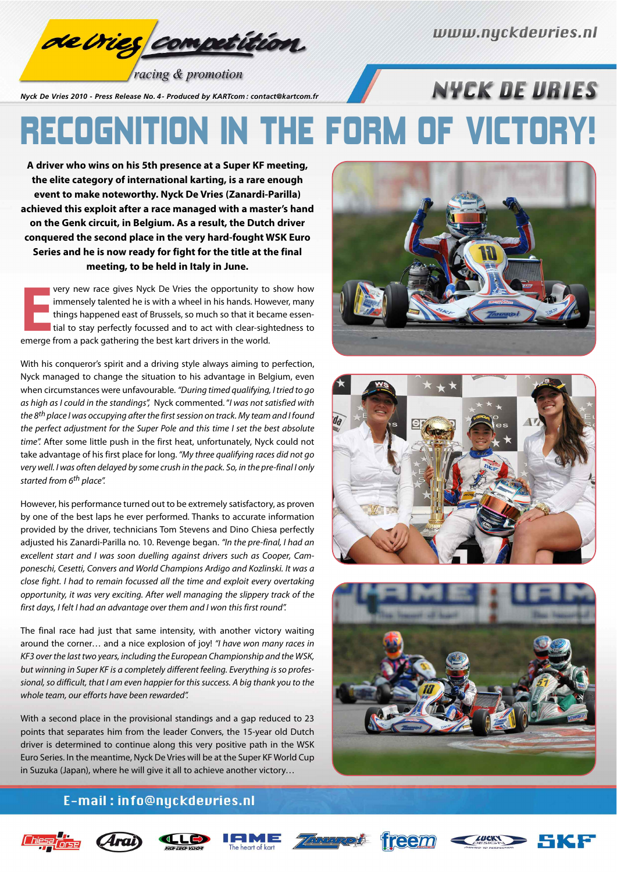<mark>de Crief competition</mark>

**NYEK DE URIES** 

racing & promotion

*Nyck De Vries 2010 - Press Release No. 4 - Produced by KARTcom : contact@kartcom.fr*

## RECOGNITION IN THE FORM OF VICTORY!

**A driver who wins on his 5th presence at a Super KF meeting, the elite category of international karting, is a rare enough event to make noteworthy. Nyck De Vries (Zanardi-Parilla) achieved this exploit after a race managed with a master's hand on the Genk circuit, in Belgium. As a result, the Dutch driver conquered the second place in the very hard-fought WSK Euro Series and he is now ready for fight for the title at the final meeting, to be held in Italy in June.**

**EXECUTE FROM A PARTLE FROM A PAPEL THE PACK GATHERIST CONTINUITY AS INTERFERIT A part of Brussels, so much so that it because that is to stay perfectly focussed and to act with clear-sigle emerge from a pack gathering the** very new race gives Nyck De Vries the opportunity to show how immensely talented he is with a wheel in his hands. However, many things happened east of Brussels, so much so that it became essential to stay perfectly focussed and to act with clear-sightedness to

With his conqueror's spirit and a driving style always aiming to perfection, Nyck managed to change the situation to his advantage in Belgium, even when circumstances were unfavourable. "During timed qualifying, I tried to go as high as I could in the standings", Nyck commented. "I was not satisfied with the 8<sup>th</sup> place I was occupying after the first session on track. My team and I found the perfect adjustment for the Super Pole and this time I set the best absolute time". After some little push in the first heat, unfortunately, Nyck could not take advantage of his first place for long. "My three qualifying races did not go very well. I was often delayed by some crush in the pack. So, in the pre-final I only started from 6<sup>th</sup> place".

However, his performance turned out to be extremely satisfactory, as proven by one of the best laps he ever performed. Thanks to accurate information provided by the driver, technicians Tom Stevens and Dino Chiesa perfectly adjusted his Zanardi-Parilla no. 10. Revenge began. "In the pre-final, I had an excellent start and I was soon duelling against drivers such as Cooper, Camponeschi, Cesetti, Convers and World Champions Ardigo and Kozlinski. It was a close fight. I had to remain focussed all the time and exploit every overtaking opportunity, it was very exciting. After well managing the slippery track of the first days, I felt I had an advantage over them and I won this first round".

The final race had just that same intensity, with another victory waiting around the corner... and a nice explosion of joy! "I have won many races in KF3 over the last two years, including the European Championship and the WSK, but winning in Super KF is a completely different feeling. Everything is so professional, so difficult, that I am even happier for this success. A big thank you to the whole team, our efforts have been rewarded".

With a second place in the provisional standings and a gap reduced to 23 points that separates him from the leader Convers, the 15-year old Dutch driver is determined to continue along this very positive path in the WSK Euro Series. In the meantime, Nyck De Vries will be at the Super KF World Cup in Suzuka (Japan), where he will give it all to achieve another victory…







## E-mail: info@nyckdevries.nl